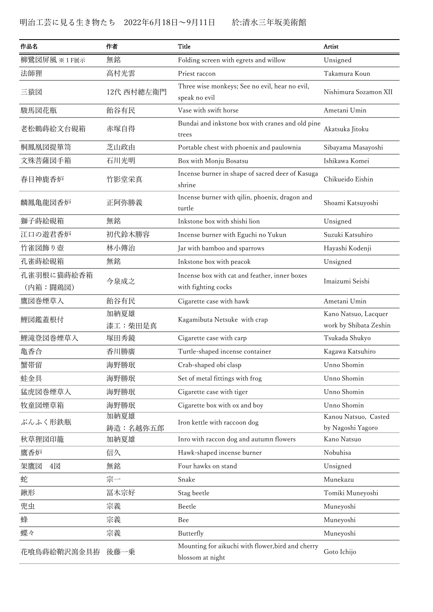## 明治工芸に見る生き物たち 2022年6月18日〜9月11日 於:清水三年坂美術館

| 作品名         | 作者               | Title                                                                 | Artist                                         |
|-------------|------------------|-----------------------------------------------------------------------|------------------------------------------------|
| 柳鷺図屏風 ※1F展示 | 無銘               | Folding screen with egrets and willow                                 | Unsigned                                       |
| 法師狸         | 高村光雲             | Priest raccon                                                         | Takamura Koun                                  |
| 三猿図         | 12代 西村總左衛門       | Three wise monkeys; See no evil, hear no evil,<br>speak no evil       | Nishimura Sozamon XII                          |
| 駿馬図花瓶       | 飴谷有民             | Vase with swift horse                                                 | Ametani Umin                                   |
| 老松鶴蒔絵文台硯箱   | 赤塚自得             | Bundai and inkstone box with cranes and old pine<br>trees             | Akatsuka Jitoku                                |
| 桐鳳凰図提箪笥     | 芝山政由             | Portable chest with phoenix and paulownia                             | Sibayama Masayoshi                             |
| 文殊菩薩図手箱     | 石川光明             | Box with Monju Bosatsu                                                | Ishikawa Komei                                 |
| 春日神鹿香炉      | 竹影堂栄真            | Incense burner in shape of sacred deer of Kasuga<br>shrine            | Chikueido Eishin                               |
| 麟鳳亀龍図香炉     | 正阿弥勝義            | Incense burner with qilin, phoenix, dragon and<br>turtle              | Shoami Katsuyoshi                              |
| 獅子蒔絵硯箱      | 無銘               | Inkstone box with shishi lion                                         | Unsigned                                       |
| 江口の遊君香炉     | 初代鈴木勝容           | Incense burner with Eguchi no Yukun                                   | Suzuki Katsuhiro                               |
| 竹雀図飾り壺      | 林小傳治             | Jar with bamboo and sparrows                                          | Hayashi Kodenji                                |
| 孔雀蒔絵硯箱      | 無銘               | Inkstone box with peacok                                              | Unsigned                                       |
| 孔雀羽根に猫蒔絵香箱  | 今泉成之             | Incense box with cat and feather, inner boxes                         | Imaizumi Seishi                                |
| (内箱:闘鶏図)    |                  | with fighting cocks                                                   |                                                |
| 鷹図巻煙草入      | 飴谷有民             | Cigarette case with hawk                                              | Ametani Umin                                   |
| 鯉図鑑蓋根付      | 加納夏雄<br>漆工:柴田是真  | Kagamibuta Netsuke with crap                                          | Kano Natsuo, Lacquer<br>work by Shibata Zeshin |
| 鯉滝登図巻煙草入    | 塚田秀鏡             | Cigarette case with carp                                              | Tsukada Shukyo                                 |
| 亀香合         | 香川勝廣             | Turtle-shaped incense container                                       | Kagawa Katsuhiro                               |
| 蟹带留         | 海野勝珉             | Crab-shaped obi clasp                                                 | Unno Shomin                                    |
| 蛙金具         | 海野勝珉             | Set of metal fittings with frog                                       | Unno Shomin                                    |
| 猛虎図巻煙草入     | 海野勝珉             | Cigarette case with tiger                                             | Unno Shomin                                    |
| 牧童図煙草箱      | 海野勝珉             | Cigarette box with ox and boy                                         | Unno Shomin                                    |
| ぶんふく形鉄瓶     | 加納夏雄<br>鋳造:名越弥五郎 | Iron kettle with raccoon dog                                          | Kanou Natsuo, Casted<br>by Nagoshi Yagoro      |
| 秋草狸図印籠      | 加納夏雄             | Inro with raccon dog and autumn flowers                               | Kano Natsuo                                    |
| 鷹香炉         | 信久               | Hawk-shaped incense burner                                            | Nobuhisa                                       |
| 架鷹図<br>4図   | 無銘               | Four hawks on stand                                                   | Unsigned                                       |
| 蛇           | 宗一               | Snake                                                                 | Munekazu                                       |
| 鍬形          | 冨木宗好             | Stag beetle                                                           | Tomiki Muneyoshi                               |
| 兜虫          | 宗義               | Beetle                                                                | Muneyoshi                                      |
| 蜂           | 宗義               | Bee                                                                   | Muneyoshi                                      |
| 蝶々          | 宗義               | Butterfly                                                             | Muneyoshi                                      |
| 花喰鳥蒔絵鞘沢瀉金具拵 | 後藤一乗             | Mounting for aikuchi with flower, bird and cherry<br>blossom at night | Goto Ichijo                                    |